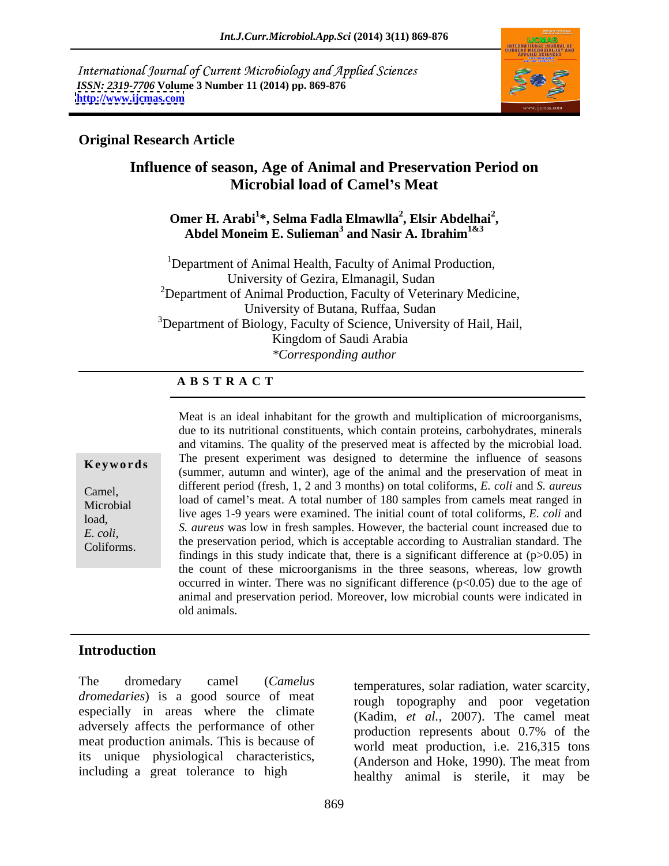International Journal of Current Microbiology and Applied Sciences *ISSN: 2319-7706* **Volume 3 Number 11 (2014) pp. 869-876 <http://www.ijcmas.com>**



### **Original Research Article**

### **Influence of season, Age of Animal and Preservation Period on Microbial load of Camel s Meat**

#### Omer H. Arabi<sup>1</sup>\*, Selma Fadla Elmawlla<sup>2</sup>, Elsir Abdelhai<sup>2</sup>, **, Elsir Abdelhai<sup>2</sup> , Abdel Moneim E. Sulieman 3 and Nasir A. Ibrahim1&3**

<sup>1</sup>Department of Animal Health, Faculty of Animal Production, University of Gezira, Elmanagil, Sudan  $2D$ epartment of Animal Production, Faculty of Veterinary Medicine, University of Butana, Ruffaa, Sudan  $3$ Department of Biology, Faculty of Science, University of Hail, Hail, Kingdom of Saudi Arabia *\*Corresponding author*

#### **A B S T R A C T**

**Keywords** The present experiment was designed to determine the influence of seasons (summer, autumn and winter), age of the animal and the preservation of meat in Camel, different period (fresh, 1, 2 and 3 months) on total coliforms, *E. coli* and *S. aureus* Microbial load of camel's meat. A total number of 180 samples from camels meat ranged in<br>Microbial location of the camelon of the camelon of the capital capital capital services in the capital services load,<br>*F*<sub>n</sub> *ali S. aureus* was low in fresh samples. However, the bacterial count increased due to *E. coli, B. dureus* was low in first samples. However, the bacterial count increased due to  $\text{Coliforms.}$  the preservation period, which is acceptable according to Australian standard. The Coliforms. Meat is an ideal inhabitant for the growth and multiplication of microorganisms, due to its nutritional constituents, which contain proteins, carbohydrates, minerals and vitamins. The quality of the preserved meat is affected by the microbial load. The present experiment was designed to determine the influence of seasons live ages 1-9 years were examined. The initial count of total coliforms, *E. coli* and findings in this study indicate that, there is a significant difference at  $(p>0.05)$  in the count of these microorganisms in the three seasons, whereas, low growth occurred in winter. There was no significant difference  $(p<0.05)$  due to the age of animal and preservation period. Moreover, low microbial counts were indicated in old animals.

### **Introduction**

The dromedary camel (*Camelus*  temperatures, solar radiation, water scarcity, *dromedaries*) is a good source of meat especially in areas where the climate adversely affects the performance of other meat production animals. This is because of its unique physiological characteristics, including a great tolerance to high

rough topography and poor vegetation (Kadim, *et al.,* 2007). The camel meat production represents about 0.7% of the world meat production, i.e. 216,315 tons (Anderson and Hoke, 1990). The meat from healthy animal is sterile, it may be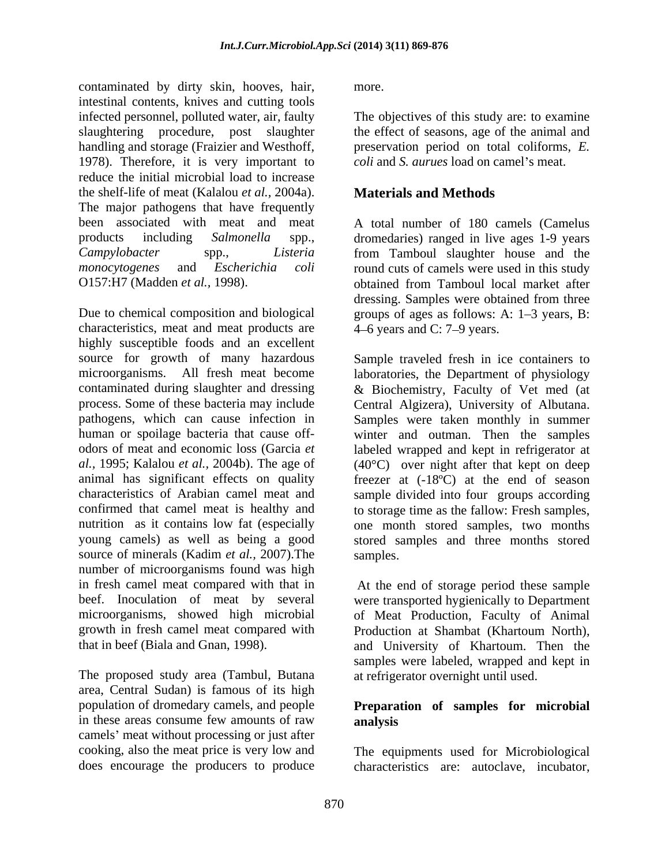contaminated by dirty skin, hooves, hair, intestinal contents, knives and cutting tools infected personnel, polluted water, air, faulty The objectives of this study are: to examine slaughtering procedure, post slaughter handling and storage (Fraizier and Westhoff, preservation period on total coliforms, *E.*  1978). Therefore, it is very important to reduce the initial microbial load to increase the shelf-life of meat (Kalalou *et al.,* 2004a). The major pathogens that have frequently been associated with meat and meat A total number of 180 camels (Camelus products including *Salmonella* spp., dromedaries) ranged in live ages 1-9 years *Campylobacter* spp., *Listeria*  from Tamboul slaughter house and the *monocytogenes* and *Escherichia coli* round cuts of camels were used in this study O157:H7 (Madden *et al.,* 1998).

Due to chemical composition and biological groups of ages as follows: A: 1–3 years, B: characteristics, meat and meat products are highly susceptible foods and an excellent source for growth of many hazardous microorganisms. All fresh meat become laboratories, the Department of physiology contaminated during slaughter and dressing & Biochemistry, Faculty of Vet med (at process. Some of these bacteria may include Central Algizera), University of Albutana. pathogens, which can cause infection in Samples were taken monthly in summer human or spoilage bacteria that cause off- winter and outman. Then the samples odors of meat and economic loss (Garcia *et*  labeled wrapped and kept in refrigerator at *al.,* 1995; Kalalou *et al.,* 2004b). The age of (40°C) over night after that kept on deep animal has significant effects on quality freezer at (-18ºC) at the end of season characteristics of Arabian camel meat and sample divided into four groups according confirmed that camel meat is healthy and to storage time as the fallow: Fresh samples, nutrition as it contains low fat (especially one month stored samples, two months young camels) as well as being a good stored samples and three months stored source of minerals (Kadim *et al.*, 2007). The samples. number of microorganisms found was high in fresh camel meat compared with that in At the end of storage period these sample beef. Inoculation of meat by several microorganisms, showed high microbial of Meat Production, Faculty of Animal growth in fresh camel meat compared with Production at Shambat (Khartoum North),

The proposed study area (Tambul, Butana area, Central Sudan) is famous of its high population of dromedary camels, and people **Preparation of samples for microbial** in these areas consume few amounts of raw **analysis** camels' meat without processing or just after cooking, also the meat price is very low and The equipments used for Microbiological

more.

the effect of seasons, age of the animal and *coli* and *S. aurues* load on camel's meat.

## **Materials and Methods**

obtained from Tamboul local market after dressing. Samples were obtained from three  $4-6$  years and C: 7–9 years.

Sample traveled fresh in ice containers to samples.

that in beef (Biala and Gnan, 1998). and University of Khartoum. Then the were transported hygienically to Department samples were labeled, wrapped and kept in at refrigerator overnight until used.

# **analysis**

does encourage the producers to produce characteristics are: autoclave, incubator,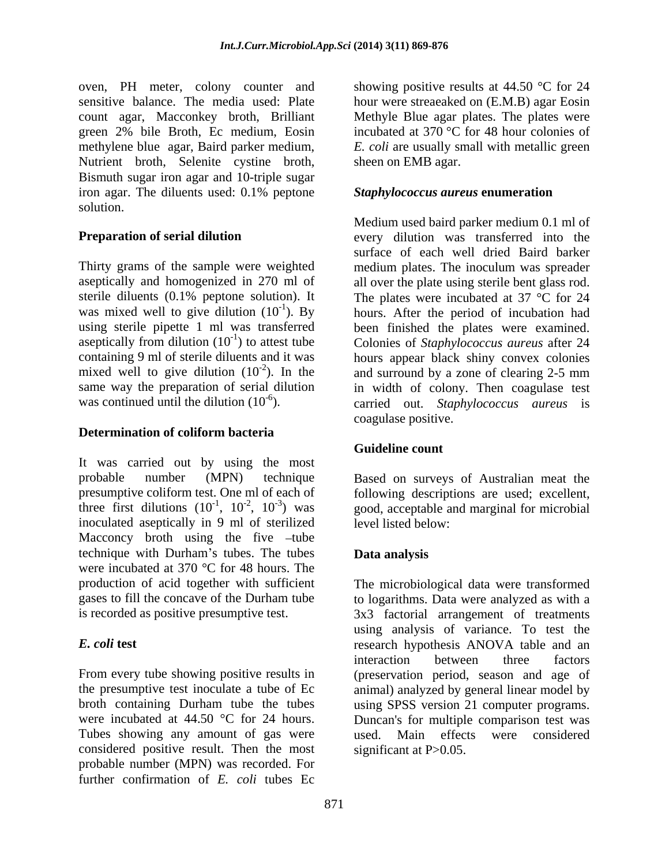oven, PH meter, colony counter and Nutrient broth, Selenite cystine broth, Bismuth sugar iron agar and 10-triple sugar iron agar. The diluents used: 0.1% peptone solution.

#### **Determination of coliform bacteria**

It was carried out by using the most probable number (MPN) technique Based on surveys of Australian meat the presumptive coliform test. One ml of each of following descriptions are used; excellent, three first dilutions  $(10^{-1}, 10^{-2}, 10^{-3})$  was inoculated aseptically in 9 ml of sterilized Macconcy broth using the five  $-tube$ technique with Durham's tubes. The tubes **Data analysis** were incubated at 370 °C for 48 hours. The production of acid together with sufficient The microbiological data were transformed gases to fill the concave of the Durham tube to logarithms. Data were analyzed as with a

Tubes showing any amount of gas were used. Main effects were considered considered positive result. Then the most probable number (MPN) was recorded. For further confirmation of *E. coli* tubes Ec

sensitive balance. The media used: Plate hour were streaeaked on (E.M.B) agar Eosin count agar, Macconkey broth, Brilliant Methyle Blue agar plates. The plates were green 2% bile Broth, Ec medium, Eosin incubated at 370 °C for 48 hour colonies of methylene blue agar, Baird parker medium, *E. coli* are usually small with metallic green showing positive results at 44.50 °C for 24 sheen on EMB agar.

#### *Staphylococcus aureus* **enumeration**

**Preparation of serial dilution** every dilution was transferred into the surface of each well dried Baird barker<br>Thirty grams of the sample were weighted medium plates. The inoculum was spreader aseptically and homogenized in 270 ml of all over the plate using sterile bent glass rod. sterile diluents (0.1% peptone solution). It The plates were incubated at 37 °C for 24 was mixed well to give dilution  $(10^{-1})$ . By hours. After the period of incubation had using sterile pipette 1 ml was transferred been finished the plates were examined. aseptically from dilution (10<sup>-1</sup>) to attest tube Colonies of *Staphylococcus aureus* after 24 containing 9 ml of sterile diluents and it was hours appear black shiny convex colonies mixed well to give dilution  $(10^{-2})$ . In the and surround by a zone of clearing 2-5 mm same way the preparation of serial dilution in width of colony. Then coagulase test was continued until the dilution (10<sup>-6</sup>). carried out. *Staphylococcus aureus* is Medium used baird parker medium 0.1 ml of surface of each well dried Baird barker medium plates. The inoculum was spreader coagulase positive.

### **Guideline count**

 $1$ ,  $10^{-2}$ ,  $10^{-3}$ ) was good, acceptable and marginal for microbial level listed below:

### **Data analysis**

is recorded as positive presumptive test. 3x3 factorial arrangement of treatments *E. coli* **test** research hypothesis ANOVA table and an From every tube showing positive results in (preservation period, season and age of the presumptive test inoculate a tube of Ec animal) analyzed by general linear model by broth containing Durham tube the tubes using SPSS version 21 computer programs. were incubated at 44.50  $\degree$ C for 24 hours. Duncan's for multiple comparison test was using analysis of variance. To test the interaction between three factors used. Main effects were considered significant at P>0.05.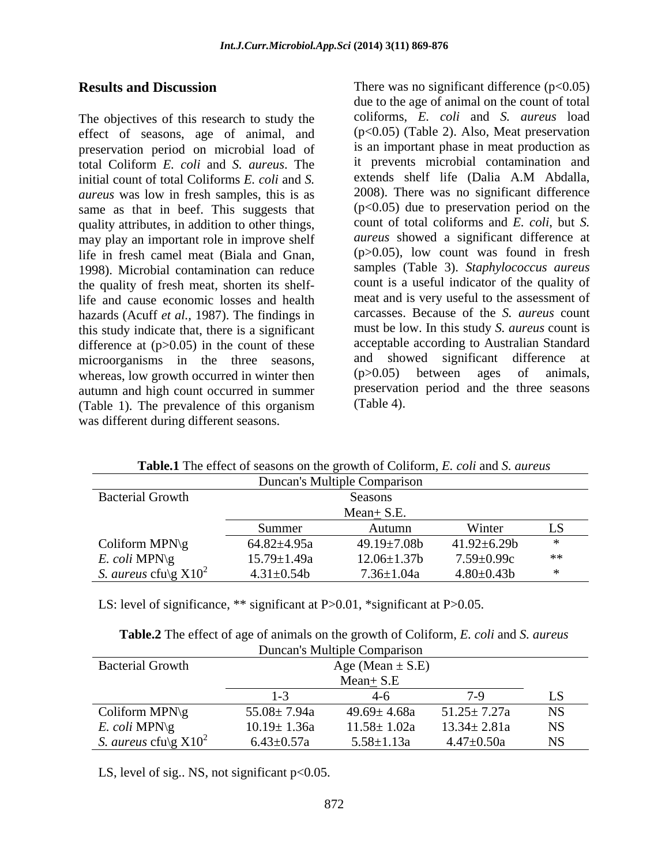The objectives of this research to study the effect of seasons, age of animal, and preservation period on microbial load of total Coliform *E. coli* and *S. aureus*. The initial count of total Coliforms *E. coli* and *S.* extends shelf life (Dalia A.M Abdalla, *aureus* was low in fresh samples, this is as same as that in beef. This suggests that quality attributes, in addition to other things, may play an important role in improve shelf life in fresh camel meat (Biala and Gnan, 1998). Microbial contamination can reduce the quality of fresh meat, shorten its shelflife and cause economic losses and health hazards (Acuff *et al.,* 1987). The findings in this study indicate that, there is a significant difference at  $(p>0.05)$  in the count of these microorganisms in the three seasons, and showed significant difference at whereas low growth occurred in winter then (p>0.05) between ages of animals, whereas, low growth occurred in winter then autumn and high count occurred in summer preservation<br>
(Table 1) The prevalence of this organism (Table 4). (Table 1). The prevalence of this organism was different during different seasons.

**Results and Discussion** There was no significant difference (p<0.05) due to the age of animal on the count of total coliforms, *E. coli* and *S. aureus* load (p<0.05) (Table 2). Also, Meat preservation is an important phase in meat production as it prevents microbial contamination and extends shelf life (Dalia A.M Abdalla, 2008). There was no significant difference  $(p<0.05)$  due to preservation period on the count of total coliforms and *E. coli*, but *S. aureus* showed a significant difference at (p>0.05), low count was found in fresh samples (Table 3). *Staphylococcus aureus* count is a useful indicator of the quality of meat and is very useful to the assessment of carcasses. Because of the *S. aureus* count must be low. In this study *S. aureus* count is acceptable according to Australian Standard and showed significant difference at (p>0.05) between ages of animals, preservation period and the three seasons (Table 4).

|                                                 |                   | <b>Radicial Tric criter</b> of seasons on the growth of Comorni, <i>E. Coll</i> and <i>S. thirths</i> |                   |            |
|-------------------------------------------------|-------------------|-------------------------------------------------------------------------------------------------------|-------------------|------------|
|                                                 |                   | Duncan's Multiple Comparison                                                                          |                   |            |
| <b>Bacterial Growth</b>                         |                   | Seasons                                                                                               |                   |            |
|                                                 |                   | $Mean + S.E.$                                                                                         |                   |            |
|                                                 | Summer            | Autumn                                                                                                | Winter            |            |
| Coliform MPN\g                                  | $64.82{\pm}4.95a$ | 49.19±7.08b                                                                                           | $41.92 \pm 6.29b$ |            |
| E. coli MPN\g                                   | $15.79 \pm 1.49a$ | $12.06 \pm 1.37$ b                                                                                    | 7.59±0.99c        | $\ast\ast$ |
| <i>S. aureus</i> cfu $\gtrsim$ X10 <sup>2</sup> | $4.31 \pm 0.54$   | $7.36 \pm 1.04a$                                                                                      | $4.80 \pm 0.43 b$ |            |

**Table.1** The effect of seasons on the growth of Coliform, *E. coli* and *S. aureus*

LS: level of significance, \*\* significant at P>0.01, \*significant at P>0.05.

|                                                                 |                   | Duncan's Multiple Comparison |                   |           |
|-----------------------------------------------------------------|-------------------|------------------------------|-------------------|-----------|
| <b>Bacterial Growth</b><br>Age (Mean $\pm$ S.E)<br>$Mean + S.E$ |                   |                              |                   |           |
|                                                                 |                   |                              |                   |           |
| Coliform MPN $\gtrsim$                                          | $55.08 \pm 7.94a$ | $49.69 \pm 4.68a$            | $51.25 \pm 7.27a$ | <b>NS</b> |
| E. coli MPN\g                                                   | $10.19 \pm 1.36a$ | $11.58 \pm 1.02a$            | $13.34 \pm 2.81a$ | <b>NS</b> |
| <i>S. aureus</i> cfu $\gtrsim$ X10 <sup>2</sup>                 | $6.43 \pm 0.57a$  | $5.58 \pm 1.13a$             | $4.47 \pm 0.50a$  | <b>NS</b> |

**Table.2** The effect of age of animals on the growth of Coliform, *E. coli* and *S. aureus*

LS, level of sig.. NS, not significant p<0.05.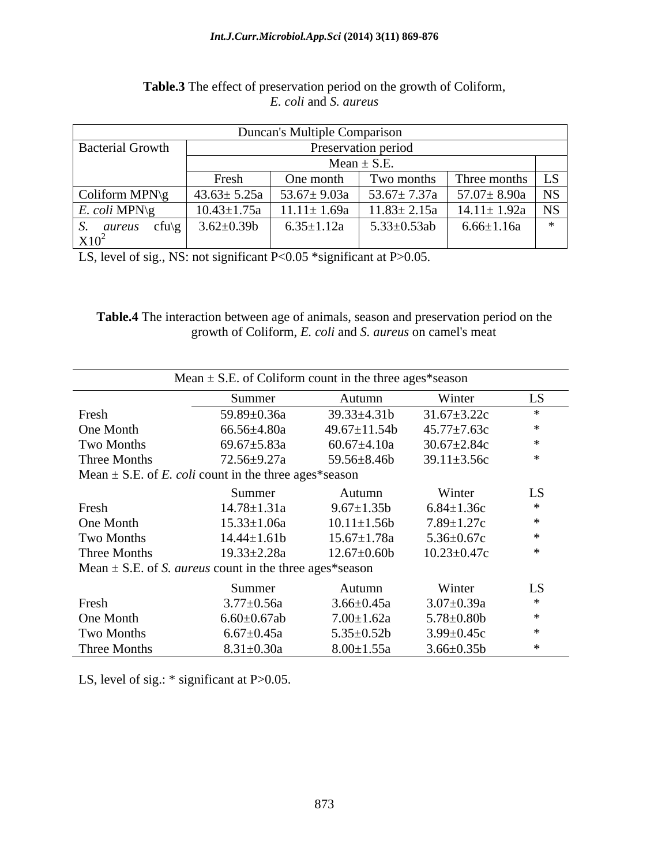#### *Int.J.Curr.Microbiol.App.Sci* **(2014) 3(11) 869-876**

|                            |                     | Duncan's Multiple Comparison |                                                                |                      |  |
|----------------------------|---------------------|------------------------------|----------------------------------------------------------------|----------------------|--|
| <b>Bacterial Growth</b>    | Preservation period |                              |                                                                |                      |  |
|                            | Mean $\pm$ S.E.     |                              |                                                                |                      |  |
|                            | Fresh               | One month                    | Two months                                                     | Three months   LS    |  |
| Coliform MPN\g             |                     |                              | 43.63± 5.25a   53.67± 9.03a   53.67± 7.37a   57.07± 8.90a   NS |                      |  |
| E. coli MPN\g              | $10.43 \pm 1.75a$   |                              | $11.11 \pm 1.69a$   $11.83 \pm 2.15a$                          | $14.11 \pm 1.92a$ NS |  |
| aureus<br>$ctu$ ) $\sigma$ | $3.62 \pm 0.39$     | $6.35 \pm 1.12a$             | $5.33 \pm 0.53ab$                                              | $6.66 \pm 1.16a$     |  |
| $X10^2$                    |                     |                              |                                                                |                      |  |

#### **Table.3** The effect of preservation period on the growth of Coliform, *E. coli* and *S. aureus*

LS, level of sig., NS: not significant P<0.05 \*significant at P>0.05.

| Table.<br>ı the<br><b>ction</b><br>vation period<br>10011177<br>presery<br>age<br>seasor<br>anıma<br>ОT<br>and<br>. 1111<br>.<br>$\mathbf{v}$ |  |
|-----------------------------------------------------------------------------------------------------------------------------------------------|--|
| . .<br>growth<br>mea<br>rtorm<br>ame<br>anc<br>: on<br>$\ldots$ unique<br>$\sim$<br>cov                                                       |  |

|              | Mean $\pm$ S.E. of Coliform count in the three ages*season         |                    |                   |        |
|--------------|--------------------------------------------------------------------|--------------------|-------------------|--------|
|              | Summer                                                             | Autumn             | Winter            | LS     |
| Fresh        | 59.89±0.36a                                                        | $39.33 \pm 4.31b$  | $31.67 \pm 3.22c$ |        |
| One Month    | 66.56±4.80a                                                        | $49.67 \pm 11.54b$ | $45.77 \pm 7.63c$ |        |
| Two Months   | 69.67 $\pm$ 5.83a                                                  | $60.67 \pm 4.10a$  | $30.67 \pm 2.84c$ | ∗      |
| Three Months | $72.56 \pm 9.27a$                                                  | 59.56±8.46b        | $39.11 \pm 3.56c$ | ∗      |
|              | Mean $\pm$ S.E. of <i>E. coli</i> count in the three ages*season   |                    |                   |        |
|              | Summer                                                             | Autumn             | Winter            | LS     |
| Fresh        | $14.78 \pm 1.31a$                                                  | $9.67 \pm 1.35b$   | $6.84 \pm 1.36c$  | $\ast$ |
| One Month    | $15.33 \pm 1.06a$                                                  | $10.11 \pm 1.56b$  | $7.89 \pm 1.27c$  |        |
| Two Months   | $14.44 \pm 1.61$                                                   | $15.67 \pm 1.78a$  | $5.36 \pm 0.67c$  | ∗      |
| Three Months | $19.33 \pm 2.28a$                                                  | $12.67 \pm 0.60b$  | $10.23 \pm 0.47c$ | $\ast$ |
|              | Mean $\pm$ S.E. of S. <i>aureus</i> count in the three ages*season |                    |                   |        |
|              | Summer                                                             | Autumn             | Winter            | LS     |
| Fresh        | $3.77 \pm 0.56a$                                                   | $3.66 \pm 0.45a$   | $3.07 \pm 0.39a$  | $\ast$ |
| One Month    | $6.60 \pm 0.67$ ab                                                 | $7.00 \pm 1.62a$   | $5.78 \pm 0.80$ b | ж      |
| Two Months   | $6.67 \pm 0.45a$                                                   | $5.35 \pm 0.52b$   | $3.99 \pm 0.45c$  | ∗      |
| Three Months | $8.31 \pm 0.30a$                                                   | $8.00 \pm 1.55a$   | $3.66 \pm 0.35 b$ |        |

LS, level of sig.: \* significant at P>0.05.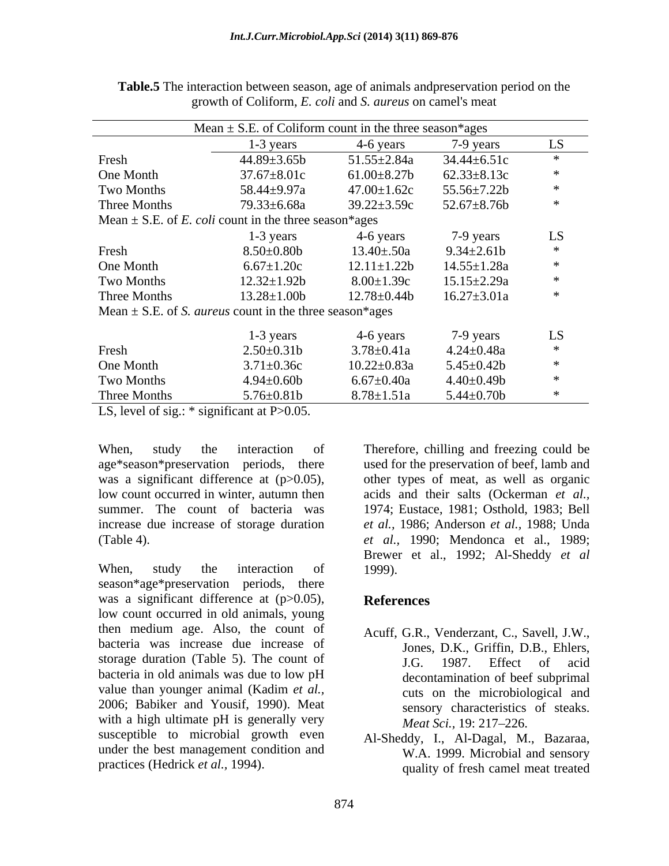|              | Mean $\pm$ S.E. of Coliform count in the three season*ages         |                    |                   |        |
|--------------|--------------------------------------------------------------------|--------------------|-------------------|--------|
|              | $1-3$ years                                                        | 4-6 years          | 7-9 years         | LS     |
| Fresh        | $44.89 \pm 3.65b$                                                  | $51.55 \pm 2.84a$  | $34.44 \pm 6.51c$ |        |
| One Month    | $37.67 \pm 8.01c$                                                  | $61.00 \pm 8.27$ b | $62.33 \pm 8.13c$ |        |
| Two Months   | 58.44±9.97a                                                        | $47.00 \pm 1.62c$  | $55.56 \pm 7.22b$ |        |
| Three Months | 79.33±6.68a                                                        | $39.22 \pm 3.59c$  | $52.67 \pm 8.76b$ |        |
|              | Mean $\pm$ S.E. of <i>E. coli</i> count in the three season*ages   |                    |                   |        |
|              | $1-3$ years                                                        | 4-6 years          | 7-9 years         | LS     |
| Fresh        | $8.50\pm0.80b$                                                     | $13.40 \pm .50a$   | $9.34 \pm 2.61$   |        |
| One Month    | $6.67 \pm 1.20c$                                                   | $12.11 \pm 1.22b$  | $14.55 \pm 1.28a$ |        |
| Two Months   | $12.32 \pm 1.92b$                                                  | $8.00 \pm 1.39c$   | $15.15 \pm 2.29a$ |        |
| Three Months | $13.28 \pm 1.00b$                                                  | $12.78 \pm 0.44b$  | $16.27 \pm 3.01a$ |        |
|              | Mean $\pm$ S.E. of S. <i>aureus</i> count in the three season*ages |                    |                   |        |
|              | $1-3$ years                                                        | 4-6 years          | 7-9 years         | LS     |
| Fresh        | $2.50 \pm 0.31$ b                                                  | $3.78 \pm 0.41a$   | $4.24 \pm 0.48a$  |        |
| One Month    | $3.71 \pm 0.36c$                                                   | $10.22 \pm 0.83a$  | $5.45 \pm 0.42b$  |        |
| Two Months   | $4.94 \pm 0.60$ b                                                  | $6.67{\pm}0.40a$   | $4.40 \pm 0.49$   | $\ast$ |
| Three Months | $5.76 \pm 0.81$                                                    | $8.78 \pm 1.51a$   | $5.44 \pm 0.70$   |        |

**Table.5** The interaction between season, age of animals andpreservation period on the growth of Coliform, *E. coli* and *S. aureus* on camel's meat

LS, level of sig.:  $*$  significant at P $>0.05$ .

increase due increase of storage duration

season\*age\*preservation periods, there was a significant difference at  $(p>0.05)$ , References low count occurred in old animals, young then medium age. Also, the count of bacteria was increase due increase of storage duration (Table 5). The count of J.G. 1987. Effect of acid bacteria in old animals was due to low pH value than younger animal (Kadim *et al.,* 2006; Babiker and Yousif, 1990). Meat with a high ultimate pH is generally very  $\text{Mean } Sci.$ , 19: 217–226. susceptible to microbial growth even under the best management condition and

When, study the interaction of Therefore, chilling and freezing could be age\*season\*preservation periods, there used for the preservation of beef, lamb and was a significant difference at (p>0.05), other types of meat, as well as organic low count occurred in winter, autumn then acids and their salts (Ockerman *et al.,* summer. The count of bacteria was 1974; Eustace, 1981; Osthold, 1983; Bell (Table 4). *et al.,* 1990; Mendonca et al., 1989; When, study the interaction of 1999). *et al.,* 1986; Anderson *et al.,* 1988; Unda Brewer et al., 1992; Al-Sheddy *et al* 1999).

#### **References**

- Acuff, G.R., Venderzant, C., Savell, J.W., Jones, D.K., Griffin, D.B., Ehlers, J.G. 1987. Effect of acid decontamination of beef subprimal cuts on the microbiological and sensory characteristics of steaks. *Meat Sci.,* 19: 217–226.
- practices (Hedrick *et al.*, 1994). **The quality of fresh camely meat treated** Al-Sheddy, I., Al-Dagal, M., Bazaraa, W.A. 1999. Microbial and sensory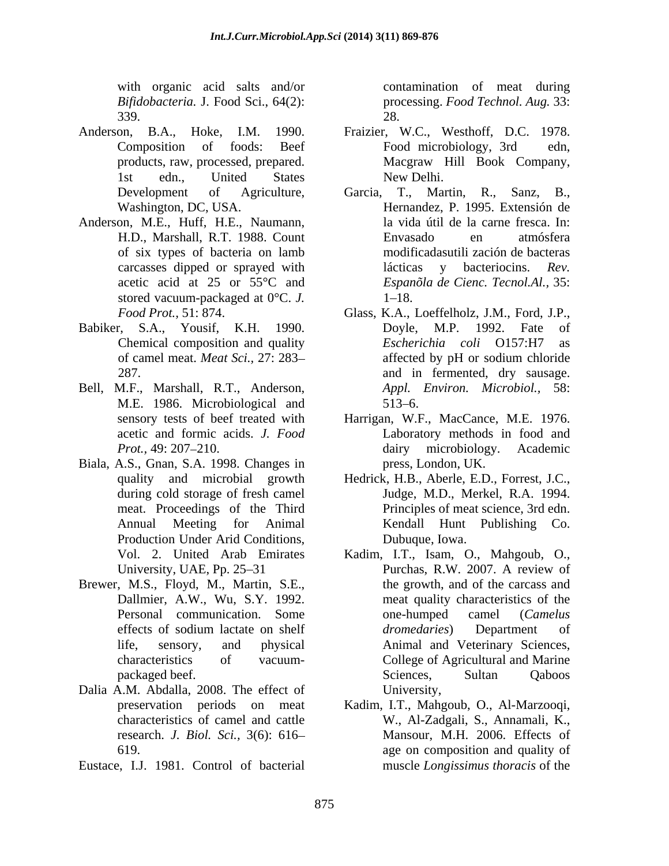*Bifidobacteria.* J. Food Sci., 64(2): 339.

- Anderson, B.A., Hoke, I.M. 1990. Fraizier, W.C., Westhoff, D.C. 1978.
- Anderson, M.E., Huff, H.E., Naumann, of six types of bacteria on lamb stored vacuum-packaged at 0°C. *J.*
- 
- Bell, M.F., Marshall, R.T., Anderson, M.E. 1986. Microbiological and
- Biala, A.S., Gnan, S.A. 1998. Changes in during cold storage of fresh camel Production Under Arid Conditions,<br>Vol. 2. United Arab Emirates
- Brewer, M.S., Floyd, M., Martin, S.E.,
- Dalia A.M. Abdalla, 2008. The effect of University, research. *J. Biol. Sci.,* 3(6): 616
- Eustace, I.J. 1981. Control of bacterial

with organic acid salts and/or contamination of meat during processing. *Food Technol. Aug.* 33: 28.

- Composition of foods: Beef products, raw, processed, prepared. Macgraw Hill Book Company, 1st edn., United States Food microbiology, 3rd edn, New Delhi.
- Development of Agriculture, Garcia, T., Martin, R., Sanz, B., Washington, DC, USA. Hernandez, P. 1995. Extensión de H.D., Marshall, R.T. 1988. Count carcasses dipped or sprayed with lácticas v bacteriocins. Rev. acetic acid at 25 or 55°C and *Espanõla de Cienc. Tecnol.Al.,* 35: la vida útil de la carne fresca. In: Envasado en atmósfera modificadasutili zación de bacteras lácticas y bacteriocins. *Rev.*  $1 - 18.$
- *Food Prot.,* 51: 874. Glass, K.A., Loeffelholz, J.M., Ford, J.P., Babiker, S.A., Yousif, K.H. 1990. Chemical composition and quality Escherichia coli O157:H7 as of camel meat. *Meat Sci.,* 27: 283 287. and in fermented, dry sausage. Doyle, M.P. 1992. Fate of *Escherichia coli* O157:H7 affected by pH or sodium chloride *Appl. Environ. Microbiol.,* 58:  $513 - 6.$ 
	- sensory tests of beef treated with Harrigan, W.F., MacCance, M.E. 1976. acetic and formic acids. *J. Food* Laboratory methods in food and *Prot.*, 49: 207–210. **dairy** microbiology. Academic press, London, UK.
	- quality and microbial growth Hedrick, H.B., Aberle, E.D., Forrest, J.C., meat. Proceedings of the Third Principles of meat science, 3rd edn. Annual Meeting for Animal Kendall Hunt Publishing Co. Judge, M.D., Merkel, R.A. 1994. Dubuque, Iowa.
	- Vol. 2. United Arab Emirates Kadim, I.T., Isam, O., Mahgoub, O., University, UAE, Pp. 25–31 Purchas, R.W. 2007. A review of Dallmier, A.W., Wu, S.Y. 1992. meat quality characteristics of the Personal communication. Some one-humped camel (Camelus effects of sodium lactate on shelf *dromedaries*) Department of life, sensory, and physical Animal and Veterinary Sciences, characteristics of vacuum- College of Agricultural and Marine packaged beef. The contract of the Sciences, Sultan Qaboos Cassette Contract of the Sciences, Sultan Qaboos Purchas, R.W. 2007. A review of the growth, and of the carcass and one-humped camel (*Camelus dromedaries*) Department of Sciences, Sultan Qaboos University,
	- preservation periods on meat Kadim, I.T., Mahgoub, O., Al-Marzooqi, characteristics of camel and cattle W., Al-Zadgali, S., Annamali, K., 619. age on composition and quality of Mansour, M.H. 2006. Effects of muscle *Longissimus thoracis* of the